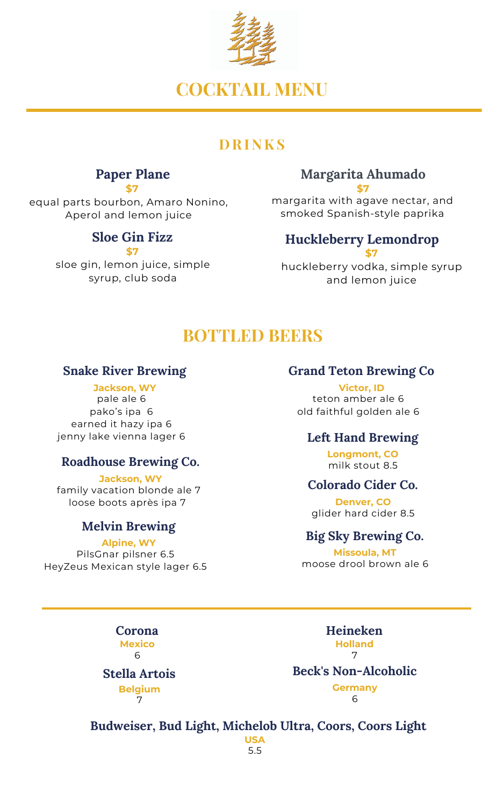

# **COCKTAIL MENU**

## **D RI N K S**

#### **Paper Plane \$7**

equal parts bourbon, Amaro Nonino, Aperol and lemon juice

### **Sloe Gin Fizz**

**\$7**

sloe gin, lemon juice, simple syrup, club soda

#### **Margarita Ahumado \$7**

margarita with agave nectar, and smoked Spanish-style paprika

#### **Huckleberry Lemondrop \$7**

huckleberry vodka, simple syrup and lemon juice

# **BOTTLED BEERS**

#### **Snake River Brewing**

**Jackson, WY** pale ale 6 pako's ipa 6 earned it hazy ipa 6 jenny lake vienna lager 6

#### **Roadhouse Brewing Co.**

**Jackson, WY** family vacation blonde ale 7 loose boots après ipa 7

#### **Melvin Brewing**

**Alpine, WY** PilsGnar pilsner 6.5 HeyZeus Mexican style lager 6.5

#### **Grand Teton Brewing Co**

**Victor, ID** teton amber ale 6 old faithful golden ale 6

#### **Left Hand Brewing**

**Longmont, CO** milk stout 8.5

#### **Colorado Cider Co.**

**Denver, CO** glider hard cider 8.5

#### **Big Sky Brewing Co.**

**Missoula, MT** moose drool brown ale 6

**Corona Mexico** 6

**Stella Artois Belgium** 7

**Heineken Holland** 7

#### **Beck's Non-Alcoholic Germany**

6

#### **Budweiser, Bud Light, Michelob Ultra, Coors, Coors Light USA**

5.5